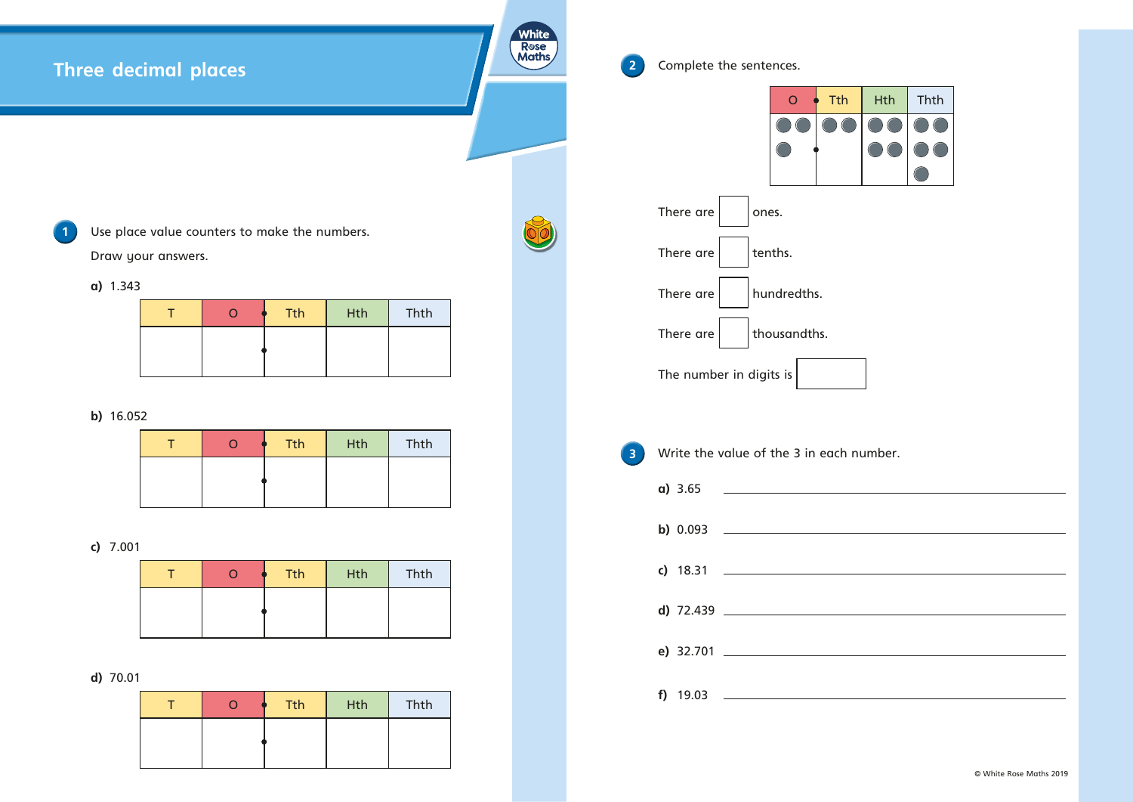# **Three decimal places**

**1** Use place value counters to make the numbers. Draw your answers.

**a)** 1.343

|  | <b>Tth</b> | <b>Hth</b> | Thth |
|--|------------|------------|------|
|  |            |            |      |
|  |            |            |      |

#### **b)** 16.052

|  | <b>Tth</b> | Hth | Thth |
|--|------------|-----|------|
|  |            |     |      |
|  |            |     |      |

## **c)** 7.001

|  | <b>Tth</b> | <b>Hth</b> | Thth |
|--|------------|------------|------|
|  |            |            |      |
|  |            |            |      |

## **d)** 70.01

| ( ) | <b>Tth</b> | Hth | Thth |
|-----|------------|-----|------|
|     |            |     |      |
|     |            |     |      |

| $\overline{2}$ | Complete the sentences.             |  |  |
|----------------|-------------------------------------|--|--|
|                | <b>Tth</b><br>$\overline{O}$        |  |  |
|                |                                     |  |  |
|                | There are<br>ones.                  |  |  |
|                | tenths.<br>There are                |  |  |
|                | hundredths.<br>There are            |  |  |
|                | There are<br>thousandths.           |  |  |
|                | The number in digits is             |  |  |
|                |                                     |  |  |
| 3              | Write the value of the 3 in each nu |  |  |
|                |                                     |  |  |
|                | b) 0.093                            |  |  |
|                |                                     |  |  |
|                | d) 72.439                           |  |  |
|                | e) 32.701                           |  |  |
|                |                                     |  |  |

**White** Rose<br>Maths

89



**3** a umber.

© White Rose Maths 2019